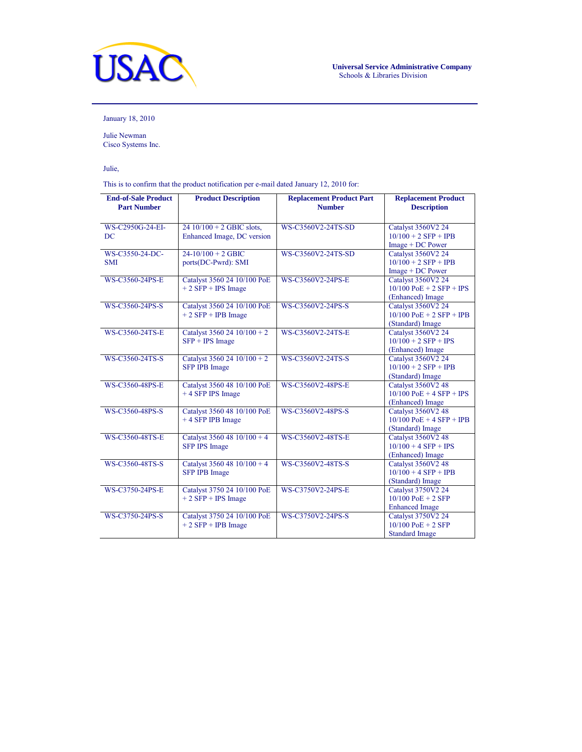

January 18, 2010

Julie Newman Cisco Systems Inc.

Julie,

This is to confirm that the product notification per e-mail dated January 12, 2010 for:

| <b>End-of-Sale Product</b> | <b>Product Description</b>                          | <b>Replacement Product Part</b> | <b>Replacement Product</b>                   |
|----------------------------|-----------------------------------------------------|---------------------------------|----------------------------------------------|
| <b>Part Number</b>         |                                                     | <b>Number</b>                   | <b>Description</b>                           |
|                            |                                                     |                                 |                                              |
| WS-C2950G-24-EI-           | $2410/100 + 2$ GBIC slots,                          | WS-C3560V2-24TS-SD              | Catalyst 3560V2 24                           |
| DC                         | Enhanced Image, DC version                          |                                 | $10/100 + 2$ SFP + IPB                       |
|                            |                                                     |                                 | $Image + DC Power$                           |
| WS-C3550-24-DC-            | $24-10/100 + 2$ GBIC                                | WS-C3560V2-24TS-SD              | Catalyst 3560V2 24                           |
| <b>SMI</b>                 | ports(DC-Pwrd): SMI                                 |                                 | $10/100 + 2$ SFP + IPB                       |
|                            |                                                     |                                 | $Image + DC Power$                           |
| WS-C3560-24PS-E            | Catalyst 3560 24 10/100 PoE                         | WS-C3560V2-24PS-E               | Catalyst 3560V2 24                           |
|                            | $+2$ SFP + IPS Image                                |                                 | $10/100$ PoE + 2 SFP + IPS                   |
|                            |                                                     |                                 | (Enhanced) Image                             |
| WS-C3560-24PS-S            | Catalyst 3560 24 10/100 PoE                         | WS-C3560V2-24PS-S               | Catalyst 3560V2 24                           |
|                            | $+ 2$ SFP + IPB Image                               |                                 | $10/100$ PoE + 2 SFP + IPB                   |
|                            |                                                     |                                 | (Standard) Image                             |
| WS-C3560-24TS-E            | Catalyst 3560 24 10/100 + 2                         | WS-C3560V2-24TS-E               | Catalyst 3560V2 24                           |
|                            | $SFP + IPS Image$                                   |                                 | $10/100 + 2$ SFP + IPS                       |
|                            |                                                     |                                 | (Enhanced) Image                             |
| WS-C3560-24TS-S            | Catalyst 3560 24 10/100 + 2                         | WS-C3560V2-24TS-S               | Catalyst 3560V2 24                           |
|                            | <b>SFP IPB Image</b>                                |                                 | $10/100 + 2$ SFP + IPB                       |
|                            |                                                     |                                 | (Standard) Image                             |
| WS-C3560-48PS-E            | Catalyst 3560 48 10/100 PoE                         | WS-C3560V2-48PS-E               | <b>Catalyst 3560V2 48</b>                    |
|                            | +4 SFP IPS Image                                    |                                 | $10/100$ PoE + 4 SFP + IPS                   |
|                            |                                                     |                                 | (Enhanced) Image                             |
| WS-C3560-48PS-S            | Catalyst 3560 48 10/100 PoE                         | WS-C3560V2-48PS-S               | Catalyst 3560V2 48                           |
|                            | +4 SFP IPB Image                                    |                                 | $10/100$ PoE + 4 SFP + IPB                   |
| WS-C3560-48TS-E            |                                                     | WS-C3560V2-48TS-E               | (Standard) Image                             |
|                            | Catalyst 3560 48 10/100 + 4<br><b>SFP IPS Image</b> |                                 | Catalyst 3560V2 48<br>$10/100 + 4$ SFP + IPS |
|                            |                                                     |                                 | (Enhanced) Image                             |
| WS-C3560-48TS-S            | Catalyst 3560 48 10/100 + 4                         | WS-C3560V2-48TS-S               | <b>Catalyst 3560V2 48</b>                    |
|                            | <b>SFP IPB Image</b>                                |                                 | $10/100 + 4$ SFP + IPB                       |
|                            |                                                     |                                 | (Standard) Image                             |
| WS-C3750-24PS-E            | Catalyst 3750 24 10/100 PoE                         | WS-C3750V2-24PS-E               | Catalyst 3750V2 24                           |
|                            | $+ 2 SFP + IPS Image$                               |                                 | $10/100$ PoE + 2 SFP                         |
|                            |                                                     |                                 | <b>Enhanced Image</b>                        |
| WS-C3750-24PS-S            | Catalyst 3750 24 10/100 PoE                         | WS-C3750V2-24PS-S               | Catalyst 3750V2 24                           |
|                            | $+2$ SFP + IPB Image                                |                                 | $10/100$ PoE + 2 SFP                         |
|                            |                                                     |                                 | <b>Standard Image</b>                        |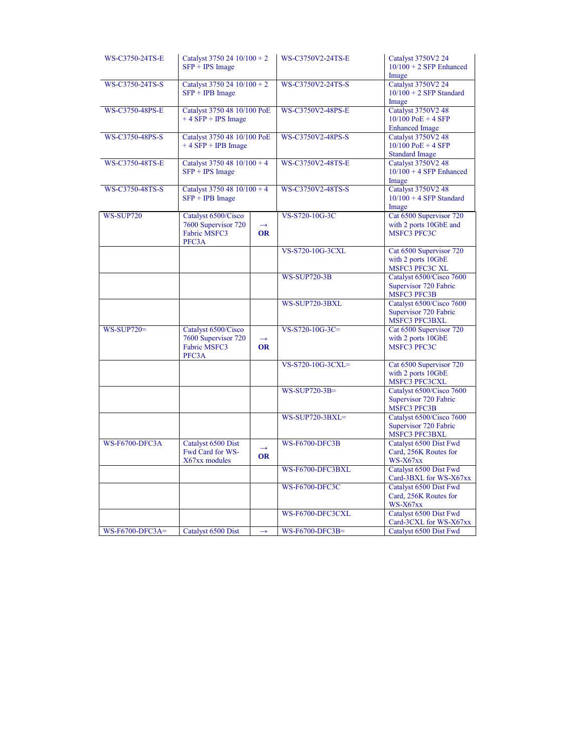| WS-C3750-24TS-E       | Catalyst 3750 24 $10/100 + 2$<br>$SFP + IPS Image$                         |                            | WS-C3750V2-24TS-E      | Catalyst 3750V2 24<br>$10/100 + 2$ SFP Enhanced<br>Image                   |
|-----------------------|----------------------------------------------------------------------------|----------------------------|------------------------|----------------------------------------------------------------------------|
| WS-C3750-24TS-S       | Catalyst 3750 24 10/100 + 2<br>$SFP + IPB Image$                           |                            | WS-C3750V2-24TS-S      | Catalyst 3750V2 24<br>$10/100 + 2$ SFP Standard<br>Image                   |
| WS-C3750-48PS-E       | Catalyst 3750 48 10/100 PoE<br>$+4$ SFP + IPS Image                        |                            | WS-C3750V2-48PS-E      | <b>Catalyst 3750V2 48</b><br>$10/100$ PoE + 4 SFP<br><b>Enhanced Image</b> |
| WS-C3750-48PS-S       | Catalyst 3750 48 10/100 PoE<br>$+4$ SFP + IPB Image                        |                            | WS-C3750V2-48PS-S      | Catalyst 3750V2 48<br>$10/100$ PoE + 4 SFP<br><b>Standard Image</b>        |
| WS-C3750-48TS-E       | Catalyst 3750 48 $10/100 + 4$<br>$SFP + IPS Image$                         |                            | WS-C3750V2-48TS-E      | Catalyst 3750V2 48<br>$10/100 + 4$ SFP Enhanced<br>Image                   |
| WS-C3750-48TS-S       | Catalyst 3750 48 10/100 + 4<br>$SFP + IPB Image$                           |                            | WS-C3750V2-48TS-S      | Catalyst 3750V2 48<br>$10/100 + 4$ SFP Standard<br>Image                   |
| <b>WS-SUP720</b>      | Catalyst 6500/Cisco<br>7600 Supervisor 720<br><b>Fabric MSFC3</b><br>PFC3A | <b>OR</b>                  | VS-S720-10G-3C         | Cat 6500 Supervisor 720<br>with 2 ports 10GbE and<br><b>MSFC3 PFC3C</b>    |
|                       |                                                                            |                            | VS-S720-10G-3CXL       | Cat 6500 Supervisor 720<br>with 2 ports 10GbE<br>MSFC3 PFC3C XL            |
|                       |                                                                            |                            | <b>WS-SUP720-3B</b>    | Catalyst 6500/Cisco 7600<br>Supervisor 720 Fabric<br><b>MSFC3 PFC3B</b>    |
|                       |                                                                            |                            | WS-SUP720-3BXL         | Catalyst 6500/Cisco 7600<br>Supervisor 720 Fabric<br><b>MSFC3 PFC3BXL</b>  |
| $WS-SUP720=$          | Catalyst 6500/Cisco<br>7600 Supervisor 720<br><b>Fabric MSFC3</b><br>PFC3A | $\rightarrow$<br><b>OR</b> | VS-S720-10G-3C=        | Cat 6500 Supervisor 720<br>with 2 ports 10GbE<br><b>MSFC3 PFC3C</b>        |
|                       |                                                                            |                            | VS-S720-10G-3CXL=      | Cat 6500 Supervisor 720<br>with 2 ports 10GbE<br><b>MSFC3 PFC3CXL</b>      |
|                       |                                                                            |                            | WS-SUP720-3B=          | Catalyst 6500/Cisco 7600<br>Supervisor 720 Fabric<br><b>MSFC3 PFC3B</b>    |
|                       |                                                                            |                            | <b>WS-SUP720-3BXL=</b> | Catalyst 6500/Cisco 7600<br>Supervisor 720 Fabric<br>MSFC3 PFC3BXL         |
| <b>WS-F6700-DFC3A</b> | Catalyst 6500 Dist<br>Fwd Card for WS-<br>X67xx modules                    | <b>OR</b>                  | <b>WS-F6700-DFC3B</b>  | Catalyst 6500 Dist Fwd<br>Card, 256K Routes for<br>WS-X67xx                |
|                       |                                                                            |                            | WS-F6700-DFC3BXL       | Catalyst 6500 Dist Fwd<br>Card-3BXL for WS-X67xx                           |
|                       |                                                                            |                            | <b>WS-F6700-DFC3C</b>  | Catalyst 6500 Dist Fwd<br>Card, 256K Routes for<br>$WS-X67xx$              |
|                       |                                                                            |                            | WS-F6700-DFC3CXL       | Catalyst 6500 Dist Fwd<br>Card-3CXL for WS-X67xx                           |
| WS-F6700-DFC3A=       | Catalyst 6500 Dist                                                         | $\rightarrow$              | WS-F6700-DFC3B=        | Catalyst 6500 Dist Fwd                                                     |